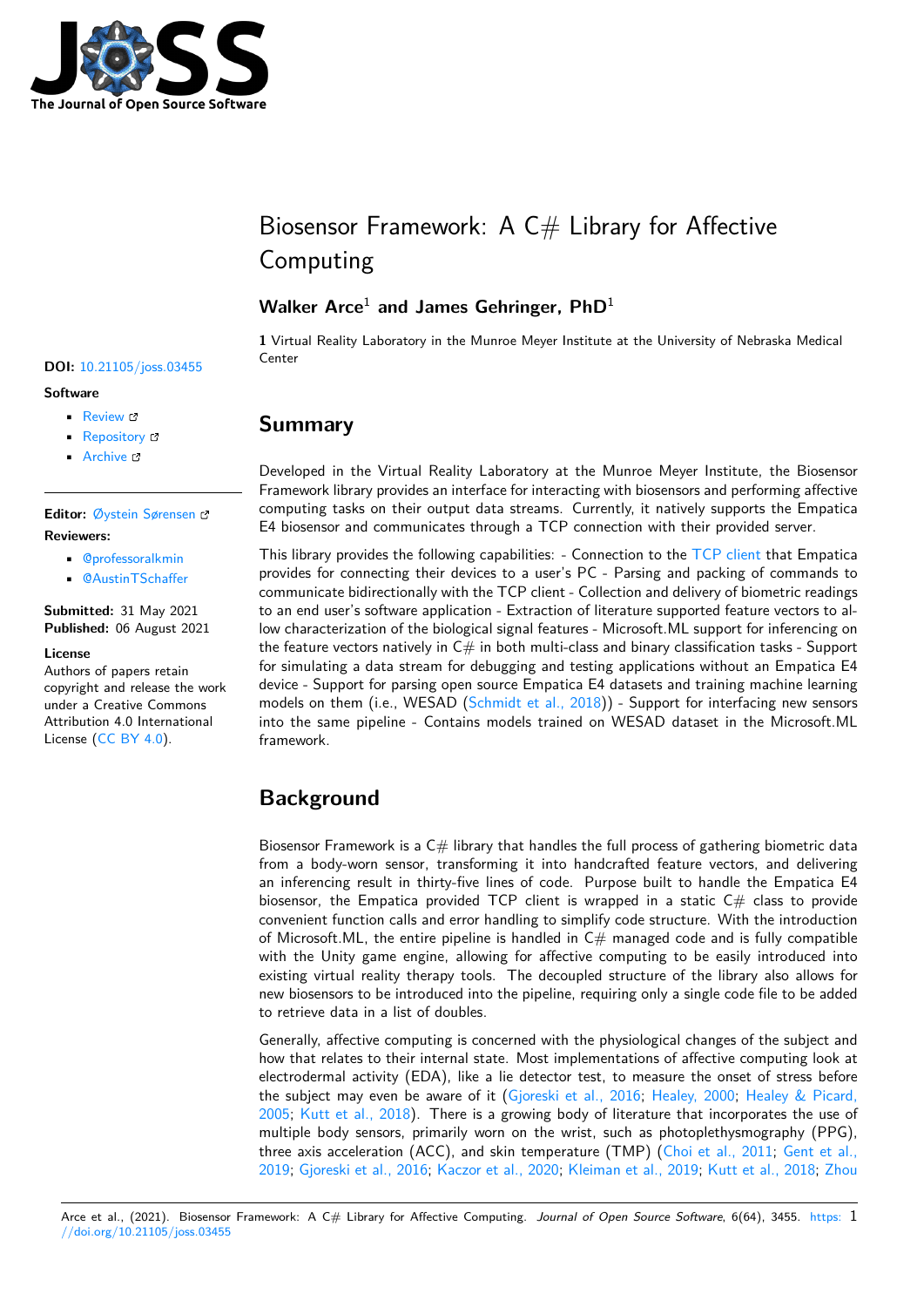

# Biosensor Framework: A  $C#$  Library for Affective Computing

### **Walker Arce**<sup>1</sup> **and James Gehringer, PhD**<sup>1</sup>

**1** Virtual Reality Laboratory in the Munroe Meyer Institute at the University of Nebraska Medical Center **DOI:** 10.21105/joss.03455

# **Summary**

Developed in the Virtual Reality Laboratory at the Munroe Meyer Institute, the Biosensor Framework library provides an interface for interacting with biosensors and performing affective computing tasks on their output data streams. Currently, it natively supports the Empatica E4 biosensor and communicates through a TCP connection with their provided server.

This library provides the following capabilities:  $-$  Connection to the TCP client that Empatica provides for connecting their devices to a user's PC - Parsing and packing of commands to communicate bidirectionally with the TCP client - Collection and delivery of biometric readings to an end user's software application - Extraction of literature supported feature vectors to allow characterization of the biological signal features - Microsoft.ML [support for](https://github.com/empatica/ble-client-windows) inferencing on the feature vectors natively in  $C\#$  in both multi-class and binary classification tasks - Support for simulating a data stream for debugging and testing applications without an Empatica E4 device - Support for parsing open source Empatica E4 datasets and training machine learning models on them (i.e., WESAD (Schmidt et al., 2018)) - Support for interfacing new sensors into the same pipeline - Contains models trained on WESAD dataset in the Microsoft.ML framework.

# **Background**

Biosensor Framework is a  $C#$  library that handles the full process of gathering biometric data from a body-worn sensor, transforming it into handcrafted feature vectors, and delivering an inferencing result in thirty-five lines of code. Purpose built to handle the Empatica E4 biosensor, the Empatica provided TCP client is wrapped in a static  $C\#$  class to provide convenient function calls and error handling to simplify code structure. With the introduction of Microsoft.ML, the entire pipeline is handled in  $C#$  managed code and is fully compatible with the Unity game engine, allowing for affective computing to be easily introduced into existing virtual reality therapy tools. The decoupled structure of the library also allows for new biosensors to be introduced into the pipeline, requiring only a single code file to be added to retrieve data in a list of doubles.

Generally, affective computing is concerned with the physiological changes of the subject and how that relates to their internal state. Most implementations of affective computing look at electrodermal activity (EDA), like a lie detector test, to measure the onset of stress before the subject may even be aware of it (Gjoreski et al., 2016; Healey, 2000; Healey & Picard, 2005; Kutt et al., 2018). There is a growing body of literature that incorporates the use of multiple body sensors, primarily worn on the wrist, such as photoplethysmography (PPG), three axis acceleration (ACC), and skin temperature (TMP) (Choi et al., 2011; Gent et al., 2019; Gjoreski et al., 2016; Kaczor et al., 2020; [Kleiman et](#page-3-0) a[l., 2019;](#page-3-1) Kutt [et al., 2018;](#page-3-2) Zhou

### **Software**

- Review &
- [Repository](https://doi.org/10.21105/joss.03455) &
- Archive

#### **Editor:** [Øystein S](https://github.com/Munroe-Meyer-Institute-VR-Laboratory/Biosensor-Framework)ørensen **Revie[wers:](https://doi.org/10.5281/zenodo.5161984)**

- @professoralkmin
- @[AustinTSchaffer](https://osorensen.rbind.io/)

#### **Submitted:** 31 May 2021 **Published:** [06 August 2](https://github.com/professoralkmin)021

#### **License**

Autho[rs of papers retain](https://github.com/AustinTSchaffer) copyright and release the work under a Creative Commons Attribution 4.0 International License (CC BY 4.0).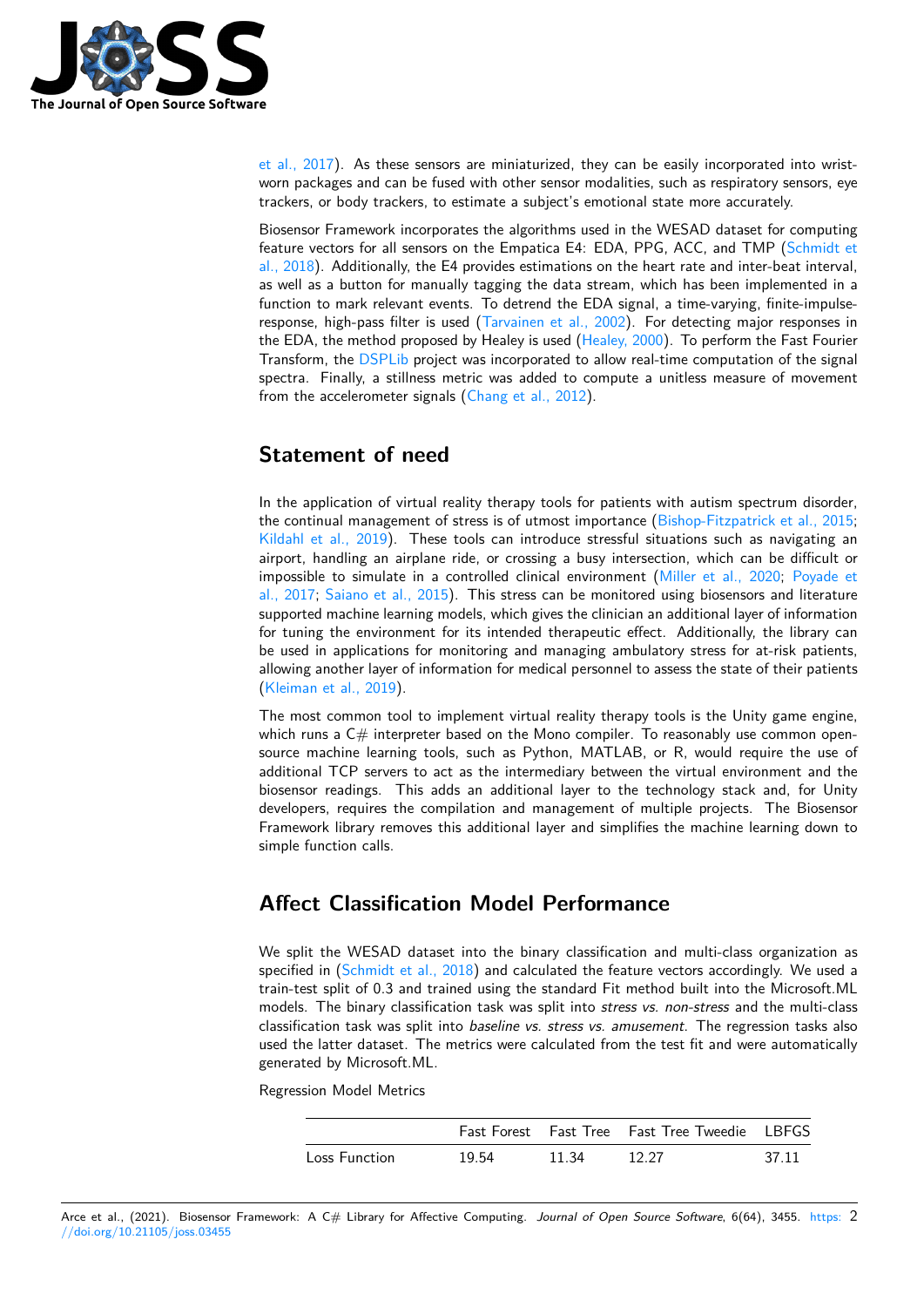

et al., 2017). As these sensors are miniaturized, they can be easily incorporated into wristworn packages and can be fused with other sensor modalities, such as respiratory sensors, eye trackers, or body trackers, to estimate a subject's emotional state more accurately.

Biosensor Framework incorporates the algorithms used in the WESAD dataset for computing feature vectors for all sensors on the Empatica E4: EDA, PPG, ACC, and TMP (Schmidt et al., 2018). Additionally, the E4 provides estimations on the heart rate and inter-beat interval, as well as a button for manually tagging the data stream, which has been implemented in a function to mark relevant events. To detrend the EDA signal, a time-varying, finite-impulseresponse, high-pass filter is used (Tarvainen et al., 2002). For detecting major r[esponses in](#page-4-0) [the EDA,](#page-4-0) the method proposed by Healey is used (Healey, 2000). To perform the Fast Fourier Transform, the DSPLib project was incorporated to allow real-time computation of the signal spectra. Finally, a stillness metric was added to compute a unitless measure of movement from the accelerometer signals (C[hang et al., 2012\).](#page-4-1)

# **Statemen[t of n](https://www.codeproject.com/Articles/1107480/DSPLib-FFT-DFT-Fourier-Transform-Library-for-NET-6)eed**

In the application of virtual reality therapy tools for patients with autism spectrum disorder, the continual management of stress is of utmost importance (Bishop-Fitzpatrick et al., 2015; Kildahl et al., 2019). These tools can introduce stressful situations such as navigating an airport, handling an airplane ride, or crossing a busy intersection, which can be difficult or impossible to simulate in a controlled clinical environment (Miller et al., 2020; Poyade et al., 2017; Saiano et al., 2015). This stress can be monitored [using biosensors and literature](#page-3-5) [supported machine le](#page-3-6)arning models, which gives the clinician an additional layer of information for tuning the environment for its intended therapeutic effect. Additionally, the library can be used in applications for monitoring and managing ambula[tory stress for at-ri](#page-3-7)s[k patients,](#page-3-8) [allowing](#page-3-8) a[nother layer of inform](#page-4-2)ation for medical personnel to assess the state of their patients (Kleiman et al., 2019).

The most common tool to implement virtual reality therapy tools is the Unity game engine, which runs a  $C#$  interpreter based on the Mono compiler. To reasonably use common opensource machine learning tools, such as Python, MATLAB, or R, would require the use of [additional TCP serve](#page-3-9)rs to act as the intermediary between the virtual environment and the biosensor readings. This adds an additional layer to the technology stack and, for Unity developers, requires the compilation and management of multiple projects. The Biosensor Framework library removes this additional layer and simplifies the machine learning down to simple function calls.

# **Affect Classification Model Performance**

We split the WESAD dataset into the binary classification and multi-class organization as specified in  $(Schmidt et al., 2018)$  and calculated the feature vectors accordingly. We used a train-test split of 0.3 and trained using the standard Fit method built into the Microsoft.ML models. The binary classification task was split into *stress vs. non-stress* and the multi-class classification task was split into *baseline vs. stress vs. amusement*. The regression tasks also used the latt[er dataset. The metr](#page-4-0)ics were calculated from the test fit and were automatically generated by Microsoft.ML.

Regression Model Metrics

|               |       |       | <b>Fast Forest</b> Fast Tree Fast Tree Tweedie LBFGS |       |
|---------------|-------|-------|------------------------------------------------------|-------|
| Loss Function | 19.54 | 11.34 | -12.27                                               | 37.11 |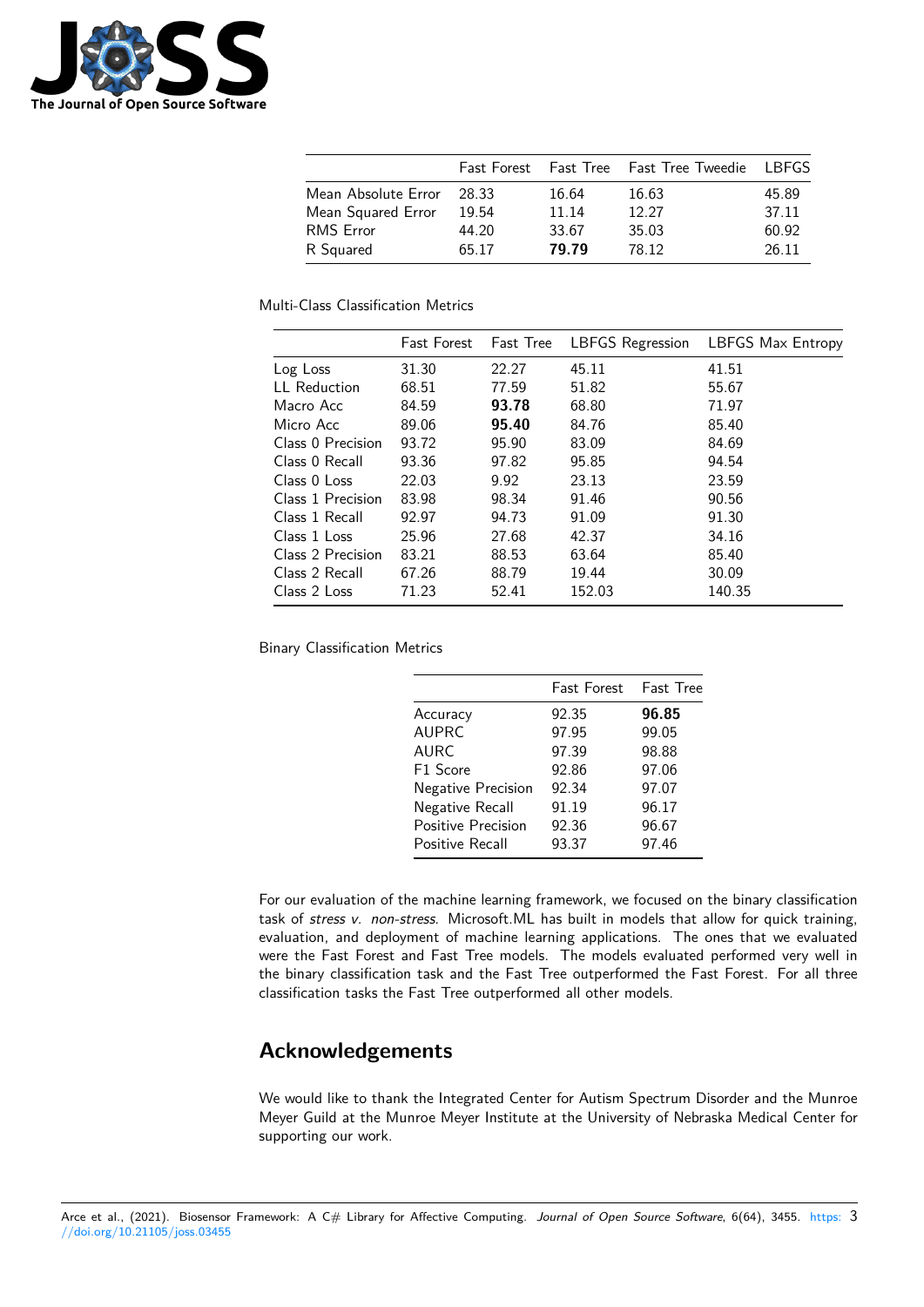

|                     | <b>Fast Forest</b> |       | Fast Tree Fast Tree Tweedie LBFGS |       |
|---------------------|--------------------|-------|-----------------------------------|-------|
| Mean Absolute Error | 28.33              | 16.64 | 16.63                             | 45.89 |
| Mean Squared Error  | 19.54              | 11.14 | 12.27                             | 37.11 |
| <b>RMS</b> Error    | 44.20              | 33.67 | 35.03                             | 60.92 |
| R Squared           | 65.17              | 79.79 | 78.12                             | 26.11 |

Multi-Class Classification Metrics

|                     | <b>Fast Forest</b> | <b>Fast Tree</b> | <b>LBFGS Regression</b> | <b>LBFGS Max Entropy</b> |
|---------------------|--------------------|------------------|-------------------------|--------------------------|
| Log Loss            | 31.30              | 22.27            | 45.11                   | 41.51                    |
| <b>LL</b> Reduction | 68.51              | 77.59            | 51.82                   | 55.67                    |
| Macro Acc           | 84.59              | 93.78            | 68.80                   | 71.97                    |
| Micro Acc           | 89.06              | 95.40            | 84.76                   | 85.40                    |
| Class 0 Precision   | 93.72              | 95.90            | 83.09                   | 84.69                    |
| Class 0 Recall      | 93.36              | 97.82            | 95.85                   | 94.54                    |
| Class 0 Loss        | 22.03              | 9.92             | 23.13                   | 23.59                    |
| Class 1 Precision   | 83.98              | 98.34            | 91.46                   | 90.56                    |
| Class 1 Recall      | 92.97              | 94.73            | 91.09                   | 91.30                    |
| Class 1 Loss        | 25.96              | 27.68            | 42.37                   | 34.16                    |
| Class 2 Precision   | 83.21              | 88.53            | 63.64                   | 85.40                    |
| Class 2 Recall      | 67.26              | 88.79            | 19.44                   | 30.09                    |
| Class 2 Loss        | 71.23              | 52.41            | 152.03                  | 140.35                   |

Binary Classification Metrics

|                           | <b>Fast Forest</b> | <b>Fast Tree</b> |
|---------------------------|--------------------|------------------|
| Accuracy                  | 92.35              | 96.85            |
| <b>AUPRC</b>              | 97.95              | 99.05            |
| <b>AURC</b>               | 97.39              | 98.88            |
| F1 Score                  | 92.86              | 97.06            |
| Negative Precision        | 92.34              | 97.07            |
| Negative Recall           | 91.19              | 96.17            |
| <b>Positive Precision</b> | 92.36              | 96.67            |
| Positive Recall           | 93.37              | 97.46            |

For our evaluation of the machine learning framework, we focused on the binary classification task of *stress v. non-stress*. Microsoft.ML has built in models that allow for quick training, evaluation, and deployment of machine learning applications. The ones that we evaluated were the Fast Forest and Fast Tree models. The models evaluated performed very well in the binary classification task and the Fast Tree outperformed the Fast Forest. For all three classification tasks the Fast Tree outperformed all other models.

# **Acknowledgements**

We would like to thank the Integrated Center for Autism Spectrum Disorder and the Munroe Meyer Guild at the Munroe Meyer Institute at the University of Nebraska Medical Center for supporting our work.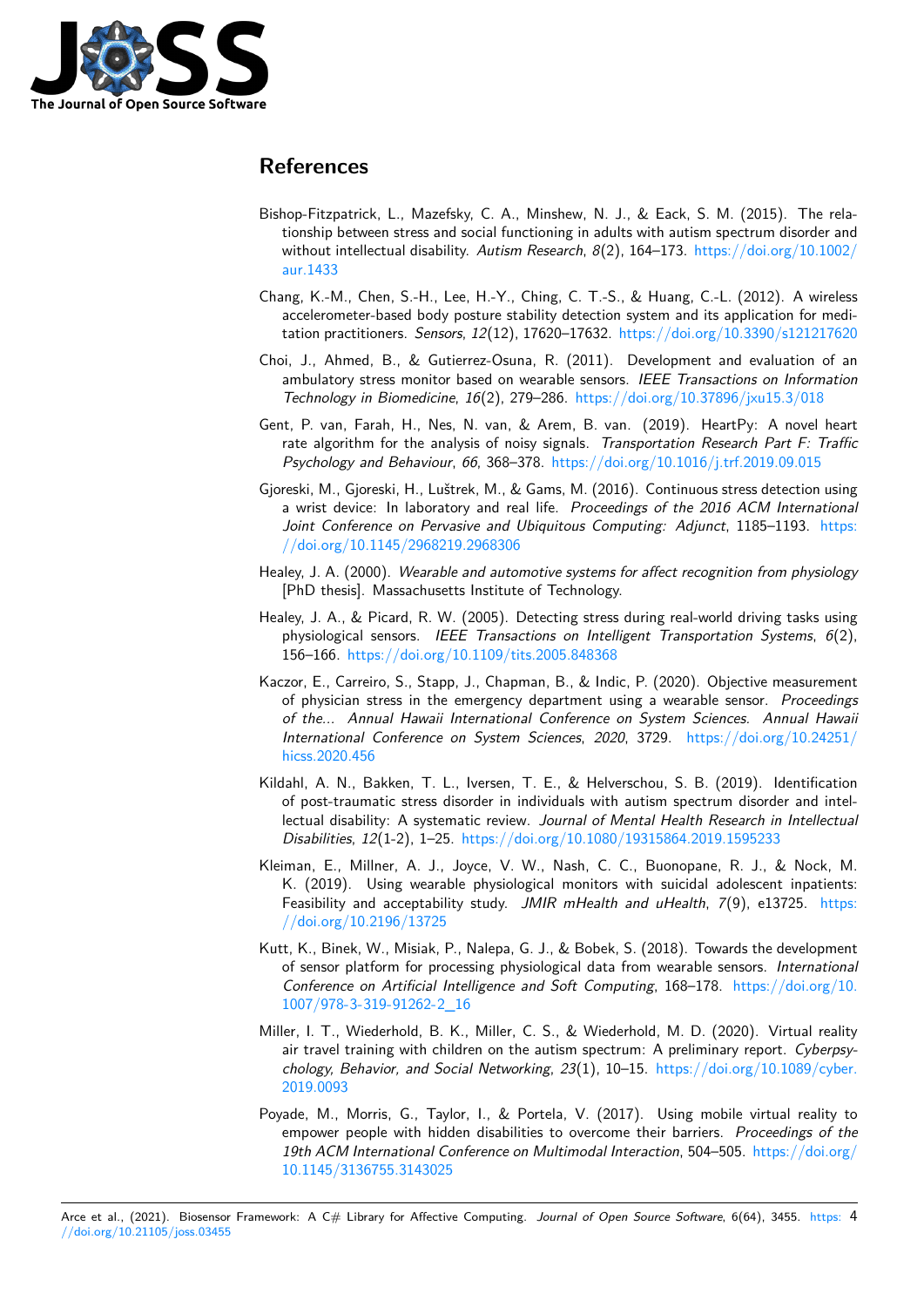

# **References**

- Bishop-Fitzpatrick, L., Mazefsky, C. A., Minshew, N. J., & Eack, S. M. (2015). The relationship between stress and social functioning in adults with autism spectrum disorder and without intellectual disability. *Autism Research*, *8*(2), 164–173. https://doi.org/10.1002/ aur.1433
- <span id="page-3-5"></span>Chang, K.-M., Chen, S.-H., Lee, H.-Y., Ching, C. T.-S., & Huang, C.-L. (2012). A wireless accelerometer-based body posture stability detection system and its application for medi[tation pra](https://doi.org/10.1002/aur.1433)ctitioners. *Sensors*, *12*(12), 17620–17632. https://doi[.org/10.3390/s121217620](https://doi.org/10.1002/aur.1433)
- Choi, J., Ahmed, B., & Gutierrez-Osuna, R. (2011). Development and evaluation of an ambulatory stress monitor based on wearable sensors. *IEEE Transactions on Information Technology in Biomedicine*, *16*(2), 279–286. https:[//doi.org/10.37896/jxu15.3/018](https://doi.org/10.3390/s121217620)
- <span id="page-3-3"></span>Gent, P. van, Farah, H., Nes, N. van, & Arem, B. van. (2019). HeartPy: A novel heart rate algorithm for the analysis of noisy signals. *Transportation Research Part F: Traffic Psychology and Behaviour*, *66*, 368–378. htt[ps://doi.org/10.1016/j.trf.2019.09.015](https://doi.org/10.37896/jxu15.3/018)
- <span id="page-3-4"></span>Gjoreski, M., Gjoreski, H., Luštrek, M., & Gams, M. (2016). Continuous stress detection using a wrist device: In laboratory and real life. *Proceedings of the 2016 ACM International Joint Conference on Pervasive and Ubiq[uitous Computing: Adjunct](https://doi.org/10.1016/j.trf.2019.09.015)*, 1185–1193. https: //doi.org/10.1145/2968219.2968306
- <span id="page-3-0"></span>Healey, J. A. (2000). *Wearable and automotive systems for affect recognition from physiology* [PhD thesis]. Massachusetts Institute of Technology.
- He[aley, J. A., & Picard, R. W. \(2005\). D](https://doi.org/10.1145/2968219.2968306)etecting stress during real-world driving tasks [using](https://doi.org/10.1145/2968219.2968306) physiological sensors. *IEEE Transactions on Intelligent Transportation Systems*, *6*(2), 156–166. https://doi.org/10.1109/tits.2005.848368
- <span id="page-3-2"></span><span id="page-3-1"></span>Kaczor, E., Carreiro, S., Stapp, J., Chapman, B., & Indic, P. (2020). Objective measurement of physician stress in the emergency department using a wearable sensor. *Proceedings of the... Annual Hawaii International Conference on System Sciences. Annual Hawaii Internatio[nal Conference on System Sciences](https://doi.org/10.1109/tits.2005.848368)*, *2020*, 3729. https://doi.org/10.24251/ hicss.2020.456
- Kildahl, A. N., Bakken, T. L., Iversen, T. E., & Helverschou, S. B. (2019). Identification of post-traumatic stress disorder in individuals with autism spectrum disorder and intellectual disability: A systematic review. *Journal of Mental Hea[lth Research in Intellectual](https://doi.org/10.24251/hicss.2020.456) [Disabilities](https://doi.org/10.24251/hicss.2020.456)*, *12*(1-2), 1–25. https://doi.org/10.1080/19315864.2019.1595233
- <span id="page-3-6"></span>Kleiman, E., Millner, A. J., Joyce, V. W., Nash, C. C., Buonopane, R. J., & Nock, M. K. (2019). Using wearable physiological monitors with suicidal adolescent inpatients: Feasibility and acceptability study. *[JMIR mHealth and uHealth](https://doi.org/10.1080/19315864.2019.1595233)*, *7*(9), e13725. https: //doi.org/10.2196/13725
- <span id="page-3-9"></span>Kutt, K., Binek, W., Misiak, P., Nalepa, G. J., & Bobek, S. (2018). Towards the development of sensor platform for processing physiological data from wearable sensors. *International Conference on Artificial Intelligence and Soft Computing*, 168–178. https://doi.o[rg/10.](https://doi.org/10.2196/13725) [1007/978-3-319-91262-2\\_](https://doi.org/10.2196/13725)16
- Miller, I. T., Wiederhold, B. K., Miller, C. S., & Wiederhold, M. D. (2020). Virtual reality air travel training with children on the autism spectrum: A preliminary report. *Cyberpsy[chology, Behavior, and Social](https://doi.org/10.1007/978-3-319-91262-2_16) Networking*, *23*(1), 10–15. https://doi.[org/10.1089/cyber.](https://doi.org/10.1007/978-3-319-91262-2_16) 2019.0093
- <span id="page-3-8"></span><span id="page-3-7"></span>Poyade, M., Morris, G., Taylor, I., & Portela, V. (2017). Using mobile virtual reality to empower people with hidden disabilities to overcome their barriers. *Proceedings of the 19th ACM International Conference on Multimodal Interaction*, 504–505. [https://doi.org/](https://doi.org/10.1089/cyber.2019.0093) [10.1145/3](https://doi.org/10.1089/cyber.2019.0093)136755.3143025